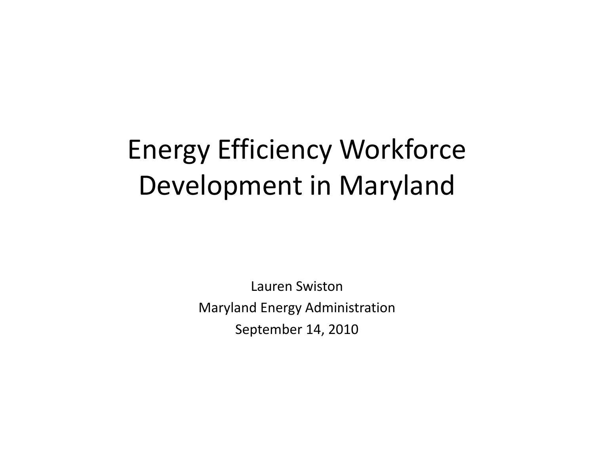#### Energy Efficiency Workforce Development in Maryland

Lauren Swiston Maryland Energy Administration September 14, 2010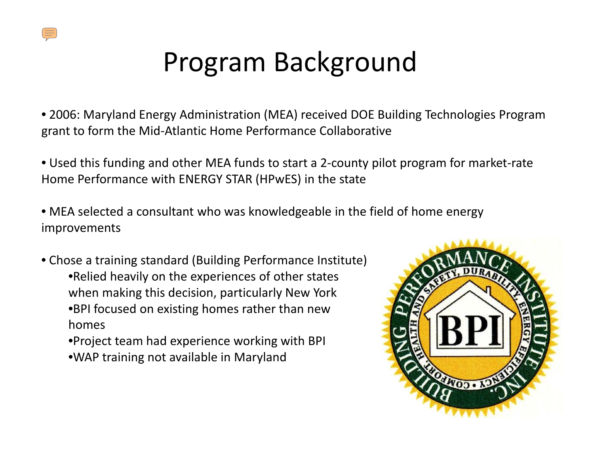

# Program Background

• 2006: Maryland Energy Administration (MEA) received DOE Building Technologies Program grant to form the Mid‐Atlantic Home Performance Collaborative

- Used this funding and other MEA funds to start <sup>a</sup> 2‐county pilot program for market‐rate Home Performance with ENERGY STAR (HPwES) in the state
- MEA selected <sup>a</sup> consultant who was knowledgeable in the field of home energy improvements
- Chose <sup>a</sup> training standard (Building Performance Institute) •Relied heavily on the experiences of other states when making this decision, particularly New York •BPI focused on existing homes rather than new homes
	- •Project team had experience working with BPI
	- •WAP training not available in Maryland

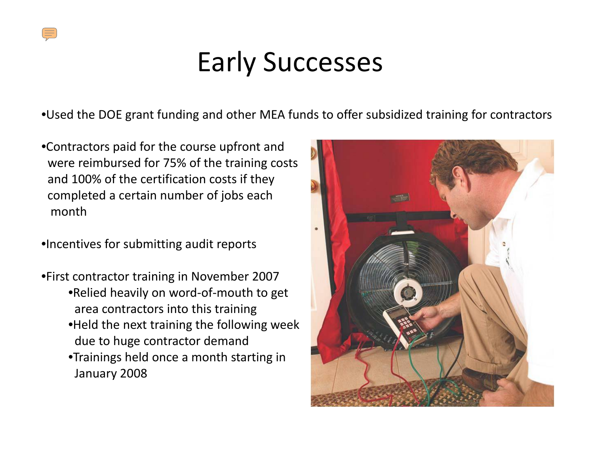#### Early Successes

•Used the DOE grant funding and other MEA funds to offer subsidized training for contractors

•Contractors paid for the course upfront and were reimbursed for 75% of the training costs and 100% of the certification costs if they completed <sup>a</sup> certain number of jobs each month

•Incentives for submitting audit reports

- •First contractor training in November 2007 •Relied heavily on word‐of‐mouth to get area contractors into this training
	- •Held the next training the following week due to huge contractor demand
	- •Trainings held once <sup>a</sup> month starting in January 2008

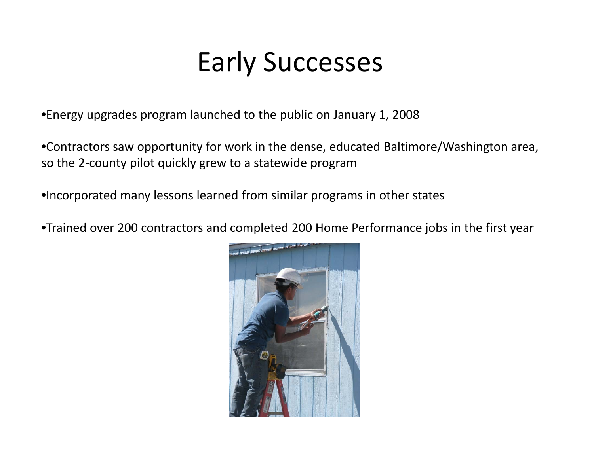#### Early Successes

•Energy upgrades program launched to the public on January 1, 2008

•Contractors saw opportunity for work in the dense, educated Baltimore/Washington area, so the 2‐county pilot quickly grew to <sup>a</sup> statewide program

•Incorporated many lessons learned from similar programs in other states

•Trained over 200 contractors and completed 200 Home Performance jobs in the first year

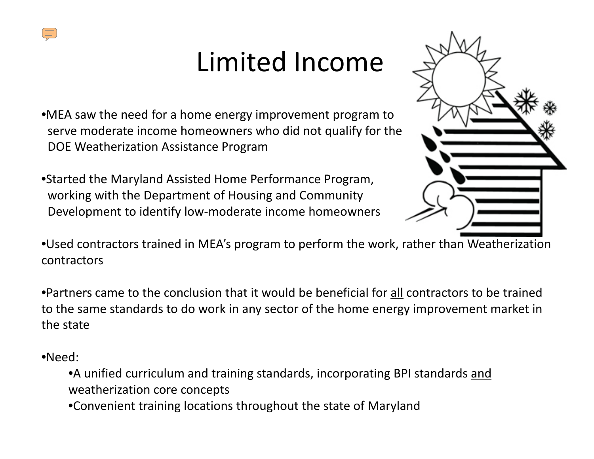## Limited Income

•MEA saw the need for <sup>a</sup> home energy improvement program to serve moderate income homeowners who did not qualify for the DOE Weatherization Assistance Program

•Started the Maryland Assisted Home Performance Program, working with the Department of Housing and Community Development to identify low‐moderate income homeowners



•Used contractors trained in MEA's program to perform the work, rather than Weatherization contractors

•Partners came to the conclusion that it would be beneficial for all contractors to be trained to the same standards to do work in any sector of the home energy improvement market in the state

•Need:

•A unified curriculum and training standards, incorporating BPI standards and weatherization core concepts

•Convenient training locations throughout the state of Maryland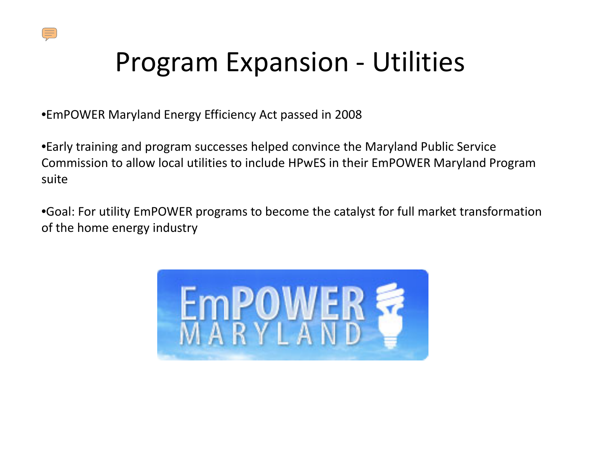

#### Program Expansion ‐ Utilities

•EmPOWER Maryland Energy Efficiency Act passed in 2008

•Early training and program successes helped convince the Maryland Public Service Commission to allow local utilities to include HPwES in their EmPOWER Maryland Program suite

•Goal: For utility EmPOWER programs to become the catalyst for full market transformation of the home energy industry

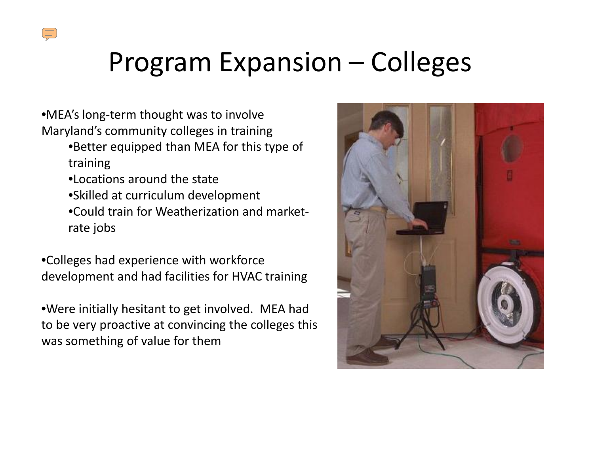#### Program Expansion – Colleges

•MEA's long‐term thought was to involve Maryland's community colleges in training

- •Better equipped than MEA for this type of training
- •Locations around the state
- •Skilled at curriculum development
- •Could train for Weatherization and market‐ rate jobs

•Colleges had experience with workforce development and had facilities for HVAC training

•Were initially hesitant to get involved. MEA had to be very proactive at convincing the colleges this was something of value for them

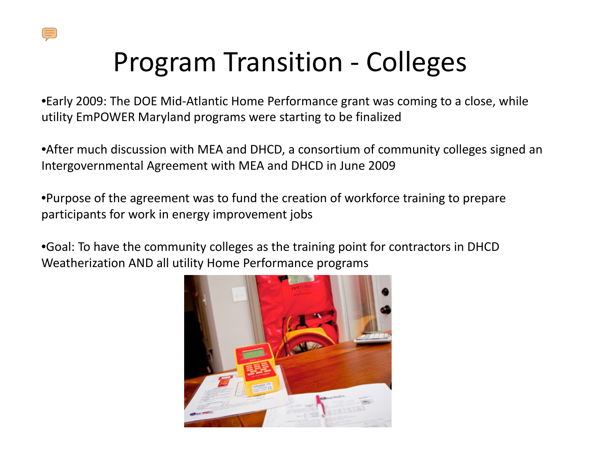

## Program Transition ‐ Colleges

•Early 2009: The DOE Mid‐Atlantic Home Performance grant was coming to <sup>a</sup> close, while utility EmPOWER Maryland programs were starting to be finalized

•After much discussion with MEA and DHCD, <sup>a</sup> consortium of community colleges signed an Intergovernmental Agreement with MEA and DHCD in June 2009

•Purpose of the agreement was to fund the creation of workforce training to prepare participants for work in energy improvement jobs

•Goal: To have the community colleges as the training point for contractors in DHCD Weatherization AND all utility Home Performance programs

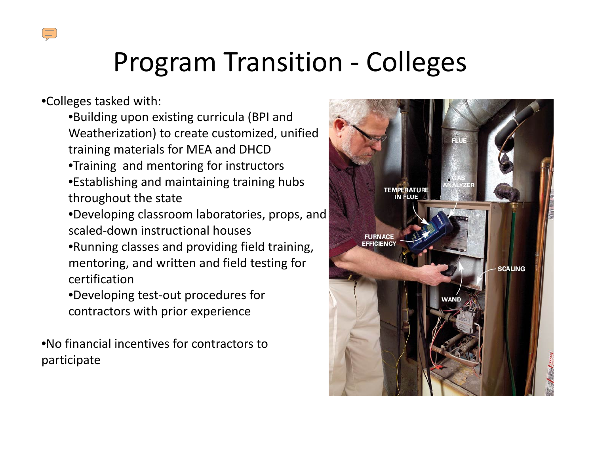## Program Transition ‐ Colleges

•Colleges tasked with:

•Building upon existing curricula (BPI and Weatherization) to create customized, unified training materials for MEA and DHCD

•Training and mentoring for instructors

•Establishing and maintaining training hubs throughout the state

- •Developing classroom laboratories, props, and scaled‐down instructional houses
- •Running classes and providing field training, mentoring, and written and field testing for certification
- •Developing test‐out procedures for contractors with prior experience

•No financial incentives for contractors to participate

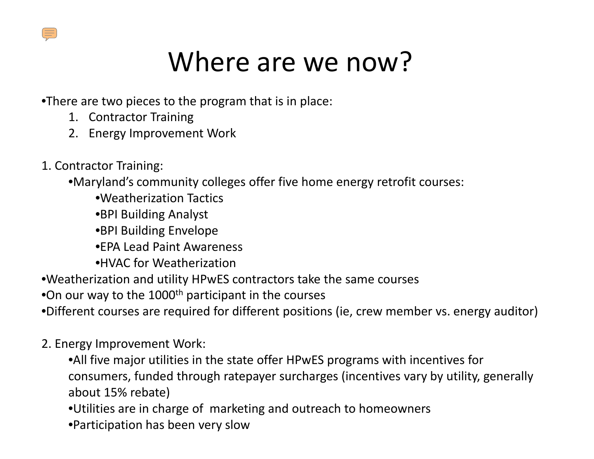

#### Where are we now?

•There are two pieces to the program that is in place:

- 1. Contractor Training
- 2. Energy Improvement Work
- 1. Contractor Training:

•Maryland's community colleges offer five home energy retrofit courses:

- •Weatherization Tactics
- •BPI Building Analyst
- •BPI Building Envelope
- •EPA Lead Paint Awareness
- •HVAC for Weatherization
- •Weatherization and utility HPwES contractors take the same courses
- $\bullet$ On our way to the 1000<sup>th</sup> participant in the courses
- •Different courses are required for different positions (ie, crew member vs. energy auditor)
- 2. Energy Improvement Work:

•All five major utilities in the state offer HPwES programs with incentives for consumers, funded through ratepayer surcharges (incentives vary by utility, generally about 15% rebate)

•Utilities are in charge of marketing and outreach to homeowners

•Participation has been very slow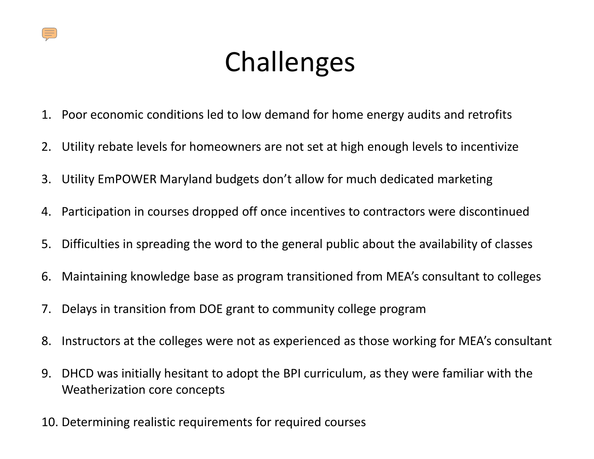

## Challenges

- 1. Poor economic conditions led to low demand for home energy audits and retrofits
- 2.Utility rebate levels for homeowners are not set at high enough levels to incentivize
- 3.Utility EmPOWER Maryland budgets don't allow for much dedicated marketing
- 4.Participation in courses dropped off once incentives to contractors were discontinued
- 5.Difficulties in spreading the word to the general public about the availability of classes
- 6.Maintaining knowledge base as program transitioned from MEA's consultant to colleges
- 7.Delays in transition from DOE grant to community college program
- 8.. Instructors at the colleges were not as experienced as those working for MEA's consultant
- 9. DHCD was initially hesitant to adopt the BPI curriculum, as they were familiar with the Weatherization core concepts
- 10. Determining realistic requirements for required courses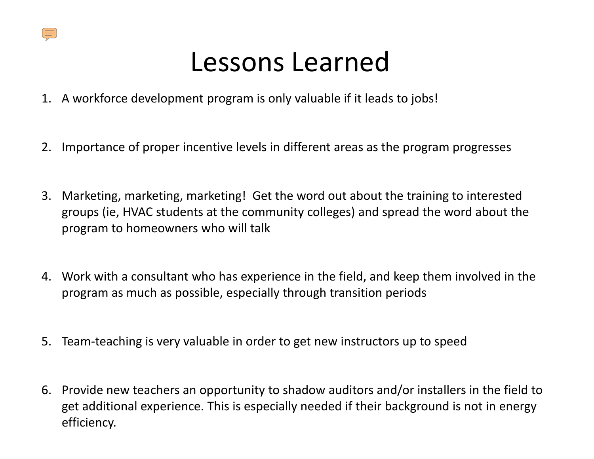

#### Lessons Learned

- 1. A workforce development program is only valuable if it leads to jobs!
- 2.Importance of proper incentive levels in different areas as the program progresses
- 3. Marketing, marketing, marketing! Get the word out about the training to interested groups (ie, HVAC students at the community colleges) and spread the word about the program to homeowners who will talk
- 4. Work with <sup>a</sup> consultant who has experience in the field, and keep them involved in the program as much as possible, especially through transition periods
- 5.Team‐teaching is very valuable in order to get new instructors up to speed
- 6. Provide new teachers an opportunity to shadow auditors and/or installers in the field to get additional experience. This is especially needed if their background is not in energy efficiency.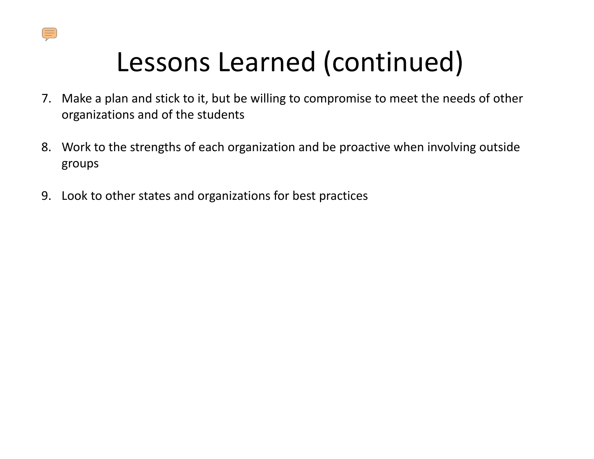

# Lessons Learned (continued)

- 7. Make <sup>a</sup> plan and stick to it, but be willing to compromise to meet the needs of other organizations and of the students
- 8. Work to the strengths of each organization and be proactive when involving outside groups
- 9.Look to other states and organizations for best practices